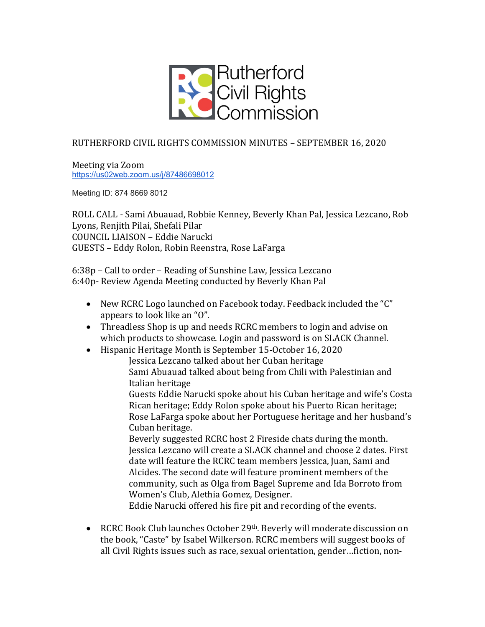

## RUTHERFORD CIVIL RIGHTS COMMISSION MINUTES - SEPTEMBER 16, 2020

Meeting via Zoom https://us02web.zoom.us/j/87486698012

Meeting ID: 874 8669 8012

ROLL CALL - Sami Abuauad, Robbie Kenney, Beverly Khan Pal, Jessica Lezcano, Rob Lyons, Renjith Pilai, Shefali Pilar COUNCIL LIAISON – Eddie Narucki GUESTS - Eddy Rolon, Robin Reenstra, Rose LaFarga

6:38p – Call to order – Reading of Sunshine Law, Jessica Lezcano 6:40p- Review Agenda Meeting conducted by Beverly Khan Pal

- New RCRC Logo launched on Facebook today. Feedback included the "C" appears to look like an "O".
- Threadless Shop is up and needs RCRC members to login and advise on which products to showcase. Login and password is on SLACK Channel.
- Hispanic Heritage Month is September 15-October 16, 2020

Jessica Lezcano talked about her Cuban heritage Sami Abuauad talked about being from Chili with Palestinian and Italian heritage

Guests Eddie Narucki spoke about his Cuban heritage and wife's Costa Rican heritage; Eddy Rolon spoke about his Puerto Rican heritage; Rose LaFarga spoke about her Portuguese heritage and her husband's Cuban heritage.

Beverly suggested RCRC host 2 Fireside chats during the month. Jessica Lezcano will create a SLACK channel and choose 2 dates. First date will feature the RCRC team members Jessica, Juan, Sami and Alcides. The second date will feature prominent members of the community, such as Olga from Bagel Supreme and Ida Borroto from Women's Club, Alethia Gomez, Designer.

Eddie Narucki offered his fire pit and recording of the events.

• RCRC Book Club launches October 29<sup>th</sup>. Beverly will moderate discussion on the book, "Caste" by Isabel Wilkerson. RCRC members will suggest books of all Civil Rights issues such as race, sexual orientation, gender...fiction, non